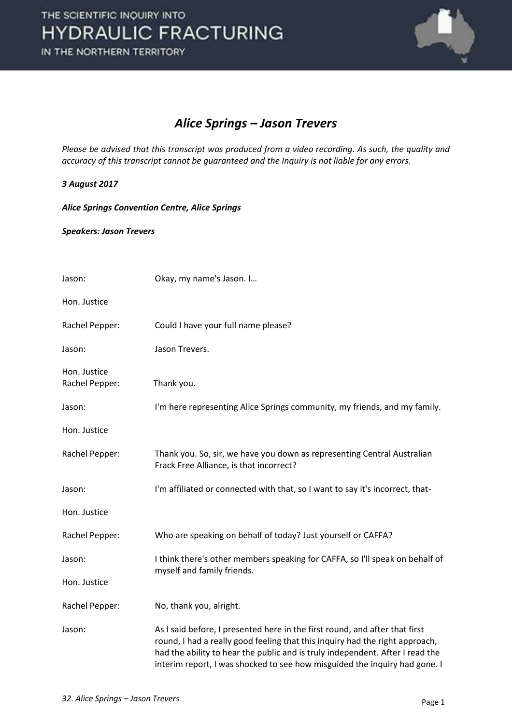

### *Alice Springs – Jason Trevers*

*Please be advised that this transcript was produced from a video recording. As such, the quality and accuracy of this transcript cannot be guaranteed and the Inquiry is not liable for any errors.* 

### *3 August 2017*

*Alice Springs Convention Centre, Alice Springs* 

*Speakers: Jason Trevers* 

| Jason:                         | Okay, my name's Jason. I                                                                                                                                                                                                                                                                                                   |
|--------------------------------|----------------------------------------------------------------------------------------------------------------------------------------------------------------------------------------------------------------------------------------------------------------------------------------------------------------------------|
| Hon. Justice                   |                                                                                                                                                                                                                                                                                                                            |
| Rachel Pepper:                 | Could I have your full name please?                                                                                                                                                                                                                                                                                        |
| Jason:                         | Jason Trevers.                                                                                                                                                                                                                                                                                                             |
| Hon. Justice<br>Rachel Pepper: | Thank you.                                                                                                                                                                                                                                                                                                                 |
| Jason:                         | I'm here representing Alice Springs community, my friends, and my family.                                                                                                                                                                                                                                                  |
| Hon. Justice                   |                                                                                                                                                                                                                                                                                                                            |
| Rachel Pepper:                 | Thank you. So, sir, we have you down as representing Central Australian<br>Frack Free Alliance, is that incorrect?                                                                                                                                                                                                         |
| Jason:                         | I'm affiliated or connected with that, so I want to say it's incorrect, that-                                                                                                                                                                                                                                              |
| Hon. Justice                   |                                                                                                                                                                                                                                                                                                                            |
| Rachel Pepper:                 | Who are speaking on behalf of today? Just yourself or CAFFA?                                                                                                                                                                                                                                                               |
| Jason:                         | I think there's other members speaking for CAFFA, so I'll speak on behalf of<br>myself and family friends.                                                                                                                                                                                                                 |
| Hon. Justice                   |                                                                                                                                                                                                                                                                                                                            |
| Rachel Pepper:                 | No, thank you, alright.                                                                                                                                                                                                                                                                                                    |
| Jason:                         | As I said before, I presented here in the first round, and after that first<br>round, I had a really good feeling that this inquiry had the right approach,<br>had the ability to hear the public and is truly independent. After I read the<br>interim report, I was shocked to see how misguided the inquiry had gone. I |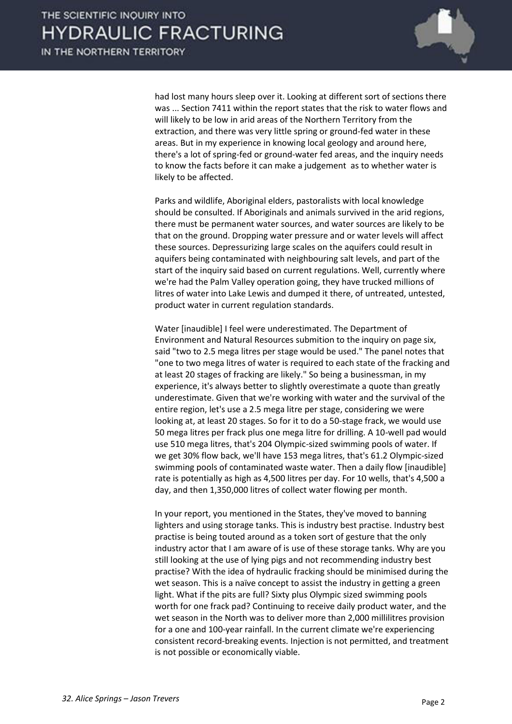

had lost many hours sleep over it. Looking at different sort of sections there was ... Section 7411 within the report states that the risk to water flows and will likely to be low in arid areas of the Northern Territory from the extraction, and there was very little spring or ground-fed water in these areas. But in my experience in knowing local geology and around here, there's a lot of spring-fed or ground-water fed areas, and the inquiry needs to know the facts before it can make a judgement as to whether water is likely to be affected.

 Parks and wildlife, Aboriginal elders, pastoralists with local knowledge should be consulted. If Aboriginals and animals survived in the arid regions, there must be permanent water sources, and water sources are likely to be that on the ground. Dropping water pressure and or water levels will affect these sources. Depressurizing large scales on the aquifers could result in aquifers being contaminated with neighbouring salt levels, and part of the start of the inquiry said based on current regulations. Well, currently where we're had the Palm Valley operation going, they have trucked millions of litres of water into Lake Lewis and dumped it there, of untreated, untested, product water in current regulation standards.

 Water [inaudible] I feel were underestimated. The Department of Environment and Natural Resources submition to the inquiry on page six, said "two to 2.5 mega litres per stage would be used." The panel notes that "one to two mega litres of water is required to each state of the fracking and at least 20 stages of fracking are likely." So being a businessman, in my experience, it's always better to slightly overestimate a quote than greatly underestimate. Given that we're working with water and the survival of the entire region, let's use a 2.5 mega litre per stage, considering we were looking at, at least 20 stages. So for it to do a 50-stage frack, we would use 50 mega litres per frack plus one mega litre for drilling. A 10-well pad would use 510 mega litres, that's 204 Olympic-sized swimming pools of water. If we get 30% flow back, we'll have 153 mega litres, that's 61.2 Olympic-sized swimming pools of contaminated waste water. Then a daily flow [inaudible] rate is potentially as high as 4,500 litres per day. For 10 wells, that's 4,500 a day, and then 1,350,000 litres of collect water flowing per month.

 In your report, you mentioned in the States, they've moved to banning lighters and using storage tanks. This is industry best practise. Industry best practise is being touted around as a token sort of gesture that the only industry actor that I am aware of is use of these storage tanks. Why are you still looking at the use of lying pigs and not recommending industry best practise? With the idea of hydraulic fracking should be minimised during the wet season. This is a naïve concept to assist the industry in getting a green light. What if the pits are full? Sixty plus Olympic sized swimming pools worth for one frack pad? Continuing to receive daily product water, and the wet season in the North was to deliver more than 2,000 millilitres provision for a one and 100-year rainfall. In the current climate we're experiencing consistent record-breaking events. Injection is not permitted, and treatment is not possible or economically viable.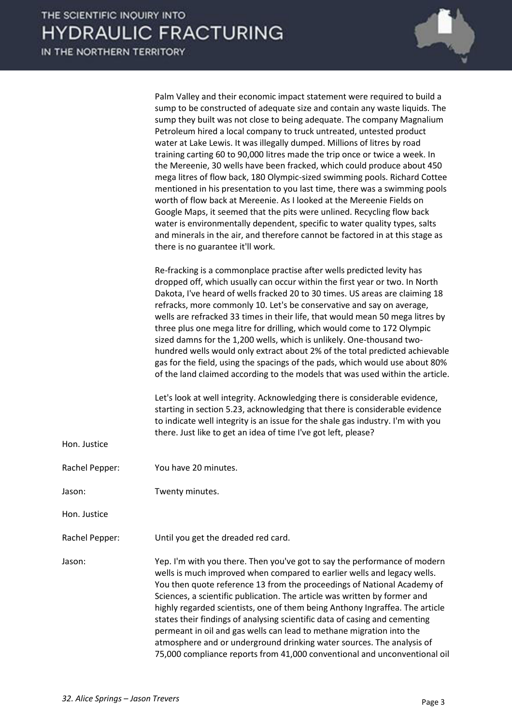|                | Palm Valley and their economic impact statement were required to build a<br>sump to be constructed of adequate size and contain any waste liquids. The<br>sump they built was not close to being adequate. The company Magnalium<br>Petroleum hired a local company to truck untreated, untested product<br>water at Lake Lewis. It was illegally dumped. Millions of litres by road<br>training carting 60 to 90,000 litres made the trip once or twice a week. In<br>the Mereenie, 30 wells have been fracked, which could produce about 450<br>mega litres of flow back, 180 Olympic-sized swimming pools. Richard Cottee<br>mentioned in his presentation to you last time, there was a swimming pools<br>worth of flow back at Mereenie. As I looked at the Mereenie Fields on<br>Google Maps, it seemed that the pits were unlined. Recycling flow back<br>water is environmentally dependent, specific to water quality types, salts<br>and minerals in the air, and therefore cannot be factored in at this stage as<br>there is no guarantee it'll work.                                                      |
|----------------|------------------------------------------------------------------------------------------------------------------------------------------------------------------------------------------------------------------------------------------------------------------------------------------------------------------------------------------------------------------------------------------------------------------------------------------------------------------------------------------------------------------------------------------------------------------------------------------------------------------------------------------------------------------------------------------------------------------------------------------------------------------------------------------------------------------------------------------------------------------------------------------------------------------------------------------------------------------------------------------------------------------------------------------------------------------------------------------------------------------------|
| Hon. Justice   | Re-fracking is a commonplace practise after wells predicted levity has<br>dropped off, which usually can occur within the first year or two. In North<br>Dakota, I've heard of wells fracked 20 to 30 times. US areas are claiming 18<br>refracks, more commonly 10. Let's be conservative and say on average,<br>wells are refracked 33 times in their life, that would mean 50 mega litres by<br>three plus one mega litre for drilling, which would come to 172 Olympic<br>sized damns for the 1,200 wells, which is unlikely. One-thousand two-<br>hundred wells would only extract about 2% of the total predicted achievable<br>gas for the field, using the spacings of the pads, which would use about 80%<br>of the land claimed according to the models that was used within the article.<br>Let's look at well integrity. Acknowledging there is considerable evidence,<br>starting in section 5.23, acknowledging that there is considerable evidence<br>to indicate well integrity is an issue for the shale gas industry. I'm with you<br>there. Just like to get an idea of time I've got left, please? |
| Rachel Pepper: | You have 20 minutes.                                                                                                                                                                                                                                                                                                                                                                                                                                                                                                                                                                                                                                                                                                                                                                                                                                                                                                                                                                                                                                                                                                   |
| Jason:         | Twenty minutes.                                                                                                                                                                                                                                                                                                                                                                                                                                                                                                                                                                                                                                                                                                                                                                                                                                                                                                                                                                                                                                                                                                        |
| Hon. Justice   |                                                                                                                                                                                                                                                                                                                                                                                                                                                                                                                                                                                                                                                                                                                                                                                                                                                                                                                                                                                                                                                                                                                        |
| Rachel Pepper: | Until you get the dreaded red card.                                                                                                                                                                                                                                                                                                                                                                                                                                                                                                                                                                                                                                                                                                                                                                                                                                                                                                                                                                                                                                                                                    |
| Jason:         | Yep. I'm with you there. Then you've got to say the performance of modern<br>wells is much improved when compared to earlier wells and legacy wells.<br>You then quote reference 13 from the proceedings of National Academy of<br>Sciences, a scientific publication. The article was written by former and<br>highly regarded scientists, one of them being Anthony Ingraffea. The article<br>states their findings of analysing scientific data of casing and cementing<br>permeant in oil and gas wells can lead to methane migration into the<br>atmosphere and or underground drinking water sources. The analysis of<br>75,000 compliance reports from 41,000 conventional and unconventional oil                                                                                                                                                                                                                                                                                                                                                                                                               |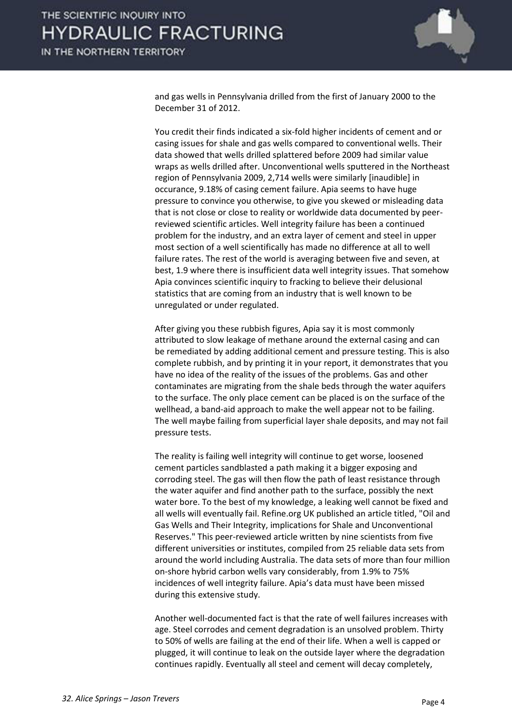

and gas wells in Pennsylvania drilled from the first of January 2000 to the December 31 of 2012.

 You credit their finds indicated a six-fold higher incidents of cement and or casing issues for shale and gas wells compared to conventional wells. Their data showed that wells drilled splattered before 2009 had similar value wraps as wells drilled after. Unconventional wells sputtered in the Northeast region of Pennsylvania 2009, 2,714 wells were similarly [inaudible] in occurance, 9.18% of casing cement failure. Apia seems to have huge pressure to convince you otherwise, to give you skewed or misleading data that is not close or close to reality or worldwide data documented by peerreviewed scientific articles. Well integrity failure has been a continued problem for the industry, and an extra layer of cement and steel in upper most section of a well scientifically has made no difference at all to well failure rates. The rest of the world is averaging between five and seven, at best, 1.9 where there is insufficient data well integrity issues. That somehow Apia convinces scientific inquiry to fracking to believe their delusional statistics that are coming from an industry that is well known to be unregulated or under regulated.

 After giving you these rubbish figures, Apia say it is most commonly attributed to slow leakage of methane around the external casing and can be remediated by adding additional cement and pressure testing. This is also complete rubbish, and by printing it in your report, it demonstrates that you have no idea of the reality of the issues of the problems. Gas and other contaminates are migrating from the shale beds through the water aquifers to the surface. The only place cement can be placed is on the surface of the wellhead, a band-aid approach to make the well appear not to be failing. The well maybe failing from superficial layer shale deposits, and may not fail pressure tests.

 The reality is failing well integrity will continue to get worse, loosened cement particles sandblasted a path making it a bigger exposing and corroding steel. The gas will then flow the path of least resistance through the water aquifer and find another path to the surface, possibly the next water bore. To the best of my knowledge, a leaking well cannot be fixed and all wells will eventually fail. Refine.org UK published an article titled, "Oil and Gas Wells and Their Integrity, implications for Shale and Unconventional Reserves." This peer-reviewed article written by nine scientists from five different universities or institutes, compiled from 25 reliable data sets from around the world including Australia. The data sets of more than four million on-shore hybrid carbon wells vary considerably, from 1.9% to 75% incidences of well integrity failure. Apia's data must have been missed during this extensive study.

 Another well-documented fact is that the rate of well failures increases with age. Steel corrodes and cement degradation is an unsolved problem. Thirty to 50% of wells are failing at the end of their life. When a well is capped or plugged, it will continue to leak on the outside layer where the degradation continues rapidly. Eventually all steel and cement will decay completely,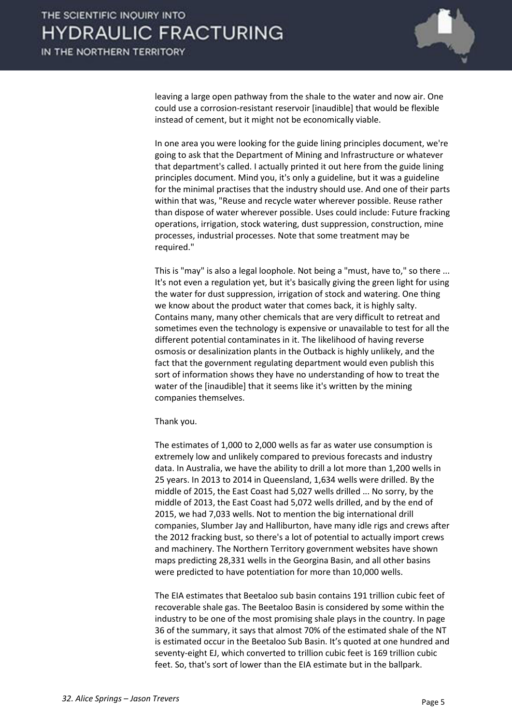

leaving a large open pathway from the shale to the water and now air. One could use a corrosion-resistant reservoir [inaudible] that would be flexible instead of cement, but it might not be economically viable.

 In one area you were looking for the guide lining principles document, we're going to ask that the Department of Mining and Infrastructure or whatever that department's called. I actually printed it out here from the guide lining principles document. Mind you, it's only a guideline, but it was a guideline for the minimal practises that the industry should use. And one of their parts within that was, "Reuse and recycle water wherever possible. Reuse rather than dispose of water wherever possible. Uses could include: Future fracking operations, irrigation, stock watering, dust suppression, construction, mine processes, industrial processes. Note that some treatment may be required."

 This is "may" is also a legal loophole. Not being a "must, have to," so there ... It's not even a regulation yet, but it's basically giving the green light for using the water for dust suppression, irrigation of stock and watering. One thing we know about the product water that comes back, it is highly salty. Contains many, many other chemicals that are very difficult to retreat and sometimes even the technology is expensive or unavailable to test for all the different potential contaminates in it. The likelihood of having reverse osmosis or desalinization plants in the Outback is highly unlikely, and the fact that the government regulating department would even publish this sort of information shows they have no understanding of how to treat the water of the [inaudible] that it seems like it's written by the mining companies themselves.

#### Thank you.

 The estimates of 1,000 to 2,000 wells as far as water use consumption is extremely low and unlikely compared to previous forecasts and industry data. In Australia, we have the ability to drill a lot more than 1,200 wells in 25 years. In 2013 to 2014 in Queensland, 1,634 wells were drilled. By the middle of 2015, the East Coast had 5,027 wells drilled ... No sorry, by the middle of 2013, the East Coast had 5,072 wells drilled, and by the end of 2015, we had 7,033 wells. Not to mention the big international drill companies, Slumber Jay and Halliburton, have many idle rigs and crews after the 2012 fracking bust, so there's a lot of potential to actually import crews and machinery. The Northern Territory government websites have shown maps predicting 28,331 wells in the Georgina Basin, and all other basins were predicted to have potentiation for more than 10,000 wells.

 The EIA estimates that Beetaloo sub basin contains 191 trillion cubic feet of recoverable shale gas. The Beetaloo Basin is considered by some within the industry to be one of the most promising shale plays in the country. In page 36 of the summary, it says that almost 70% of the estimated shale of the NT is estimated occur in the Beetaloo Sub Basin. It's quoted at one hundred and seventy-eight EJ, which converted to trillion cubic feet is 169 trillion cubic feet. So, that's sort of lower than the EIA estimate but in the ballpark.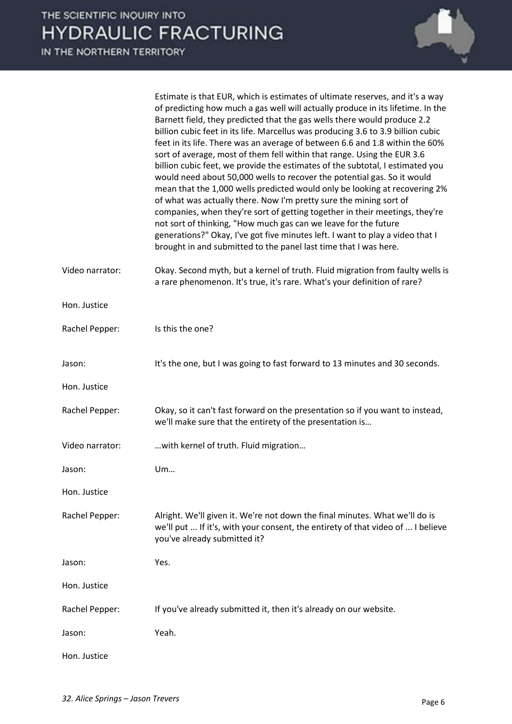

|                 | Estimate is that EUR, which is estimates of ultimate reserves, and it's a way<br>of predicting how much a gas well will actually produce in its lifetime. In the<br>Barnett field, they predicted that the gas wells there would produce 2.2<br>billion cubic feet in its life. Marcellus was producing 3.6 to 3.9 billion cubic<br>feet in its life. There was an average of between 6.6 and 1.8 within the 60%<br>sort of average, most of them fell within that range. Using the EUR 3.6<br>billion cubic feet, we provide the estimates of the subtotal, I estimated you<br>would need about 50,000 wells to recover the potential gas. So it would<br>mean that the 1,000 wells predicted would only be looking at recovering 2%<br>of what was actually there. Now I'm pretty sure the mining sort of<br>companies, when they're sort of getting together in their meetings, they're<br>not sort of thinking, "How much gas can we leave for the future<br>generations?" Okay, I've got five minutes left. I want to play a video that I<br>brought in and submitted to the panel last time that I was here. |
|-----------------|--------------------------------------------------------------------------------------------------------------------------------------------------------------------------------------------------------------------------------------------------------------------------------------------------------------------------------------------------------------------------------------------------------------------------------------------------------------------------------------------------------------------------------------------------------------------------------------------------------------------------------------------------------------------------------------------------------------------------------------------------------------------------------------------------------------------------------------------------------------------------------------------------------------------------------------------------------------------------------------------------------------------------------------------------------------------------------------------------------------------|
| Video narrator: | Okay. Second myth, but a kernel of truth. Fluid migration from faulty wells is<br>a rare phenomenon. It's true, it's rare. What's your definition of rare?                                                                                                                                                                                                                                                                                                                                                                                                                                                                                                                                                                                                                                                                                                                                                                                                                                                                                                                                                         |
| Hon. Justice    |                                                                                                                                                                                                                                                                                                                                                                                                                                                                                                                                                                                                                                                                                                                                                                                                                                                                                                                                                                                                                                                                                                                    |
| Rachel Pepper:  | Is this the one?                                                                                                                                                                                                                                                                                                                                                                                                                                                                                                                                                                                                                                                                                                                                                                                                                                                                                                                                                                                                                                                                                                   |
| Jason:          | It's the one, but I was going to fast forward to 13 minutes and 30 seconds.                                                                                                                                                                                                                                                                                                                                                                                                                                                                                                                                                                                                                                                                                                                                                                                                                                                                                                                                                                                                                                        |
| Hon. Justice    |                                                                                                                                                                                                                                                                                                                                                                                                                                                                                                                                                                                                                                                                                                                                                                                                                                                                                                                                                                                                                                                                                                                    |
| Rachel Pepper:  | Okay, so it can't fast forward on the presentation so if you want to instead,<br>we'll make sure that the entirety of the presentation is                                                                                                                                                                                                                                                                                                                                                                                                                                                                                                                                                                                                                                                                                                                                                                                                                                                                                                                                                                          |
| Video narrator: | with kernel of truth. Fluid migration                                                                                                                                                                                                                                                                                                                                                                                                                                                                                                                                                                                                                                                                                                                                                                                                                                                                                                                                                                                                                                                                              |
| Jason:          | Um                                                                                                                                                                                                                                                                                                                                                                                                                                                                                                                                                                                                                                                                                                                                                                                                                                                                                                                                                                                                                                                                                                                 |
| Hon. Justice    |                                                                                                                                                                                                                                                                                                                                                                                                                                                                                                                                                                                                                                                                                                                                                                                                                                                                                                                                                                                                                                                                                                                    |
| Rachel Pepper:  | Alright. We'll given it. We're not down the final minutes. What we'll do is<br>we'll put  If it's, with your consent, the entirety of that video of  I believe<br>you've already submitted it?                                                                                                                                                                                                                                                                                                                                                                                                                                                                                                                                                                                                                                                                                                                                                                                                                                                                                                                     |
| Jason:          | Yes.                                                                                                                                                                                                                                                                                                                                                                                                                                                                                                                                                                                                                                                                                                                                                                                                                                                                                                                                                                                                                                                                                                               |
| Hon. Justice    |                                                                                                                                                                                                                                                                                                                                                                                                                                                                                                                                                                                                                                                                                                                                                                                                                                                                                                                                                                                                                                                                                                                    |
| Rachel Pepper:  | If you've already submitted it, then it's already on our website.                                                                                                                                                                                                                                                                                                                                                                                                                                                                                                                                                                                                                                                                                                                                                                                                                                                                                                                                                                                                                                                  |
| Jason:          | Yeah.                                                                                                                                                                                                                                                                                                                                                                                                                                                                                                                                                                                                                                                                                                                                                                                                                                                                                                                                                                                                                                                                                                              |
| Hon. Justice    |                                                                                                                                                                                                                                                                                                                                                                                                                                                                                                                                                                                                                                                                                                                                                                                                                                                                                                                                                                                                                                                                                                                    |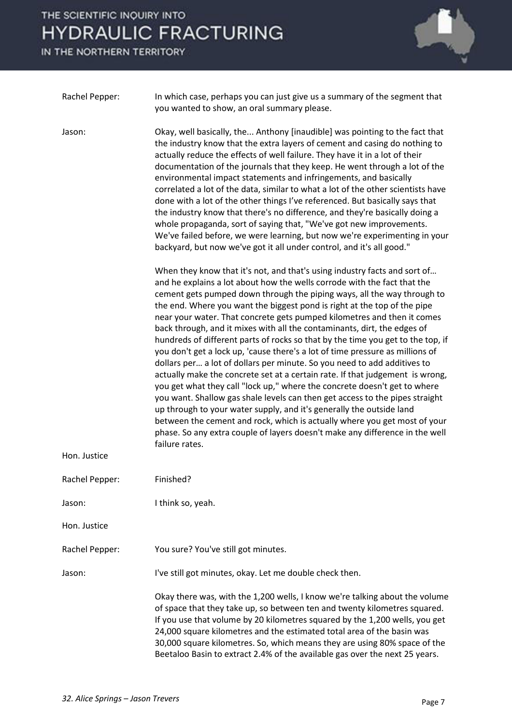

| Rachel Pepper: | In which case, perhaps you can just give us a summary of the segment that<br>you wanted to show, an oral summary please.                                                                                                                                                                                                                                                                                                                                                                                                                                                                                                                                                                                                                                                                                                                                                                                                                                                                                                                                                                                                                                                                                                 |
|----------------|--------------------------------------------------------------------------------------------------------------------------------------------------------------------------------------------------------------------------------------------------------------------------------------------------------------------------------------------------------------------------------------------------------------------------------------------------------------------------------------------------------------------------------------------------------------------------------------------------------------------------------------------------------------------------------------------------------------------------------------------------------------------------------------------------------------------------------------------------------------------------------------------------------------------------------------------------------------------------------------------------------------------------------------------------------------------------------------------------------------------------------------------------------------------------------------------------------------------------|
| Jason:         | Okay, well basically, the Anthony [inaudible] was pointing to the fact that<br>the industry know that the extra layers of cement and casing do nothing to<br>actually reduce the effects of well failure. They have it in a lot of their<br>documentation of the journals that they keep. He went through a lot of the<br>environmental impact statements and infringements, and basically<br>correlated a lot of the data, similar to what a lot of the other scientists have<br>done with a lot of the other things I've referenced. But basically says that<br>the industry know that there's no difference, and they're basically doing a<br>whole propaganda, sort of saying that, "We've got new improvements.<br>We've failed before, we were learning, but now we're experimenting in your<br>backyard, but now we've got it all under control, and it's all good."                                                                                                                                                                                                                                                                                                                                              |
|                | When they know that it's not, and that's using industry facts and sort of<br>and he explains a lot about how the wells corrode with the fact that the<br>cement gets pumped down through the piping ways, all the way through to<br>the end. Where you want the biggest pond is right at the top of the pipe<br>near your water. That concrete gets pumped kilometres and then it comes<br>back through, and it mixes with all the contaminants, dirt, the edges of<br>hundreds of different parts of rocks so that by the time you get to the top, if<br>you don't get a lock up, 'cause there's a lot of time pressure as millions of<br>dollars per a lot of dollars per minute. So you need to add additives to<br>actually make the concrete set at a certain rate. If that judgement is wrong,<br>you get what they call "lock up," where the concrete doesn't get to where<br>you want. Shallow gas shale levels can then get access to the pipes straight<br>up through to your water supply, and it's generally the outside land<br>between the cement and rock, which is actually where you get most of your<br>phase. So any extra couple of layers doesn't make any difference in the well<br>failure rates. |
| Hon. Justice   |                                                                                                                                                                                                                                                                                                                                                                                                                                                                                                                                                                                                                                                                                                                                                                                                                                                                                                                                                                                                                                                                                                                                                                                                                          |
| Rachel Pepper: | Finished?                                                                                                                                                                                                                                                                                                                                                                                                                                                                                                                                                                                                                                                                                                                                                                                                                                                                                                                                                                                                                                                                                                                                                                                                                |
| Jason:         | I think so, yeah.                                                                                                                                                                                                                                                                                                                                                                                                                                                                                                                                                                                                                                                                                                                                                                                                                                                                                                                                                                                                                                                                                                                                                                                                        |
| Hon. Justice   |                                                                                                                                                                                                                                                                                                                                                                                                                                                                                                                                                                                                                                                                                                                                                                                                                                                                                                                                                                                                                                                                                                                                                                                                                          |
| Rachel Pepper: | You sure? You've still got minutes.                                                                                                                                                                                                                                                                                                                                                                                                                                                                                                                                                                                                                                                                                                                                                                                                                                                                                                                                                                                                                                                                                                                                                                                      |
| Jason:         | I've still got minutes, okay. Let me double check then.                                                                                                                                                                                                                                                                                                                                                                                                                                                                                                                                                                                                                                                                                                                                                                                                                                                                                                                                                                                                                                                                                                                                                                  |
|                | Okay there was, with the 1,200 wells, I know we're talking about the volume<br>of space that they take up, so between ten and twenty kilometres squared.<br>If you use that volume by 20 kilometres squared by the 1,200 wells, you get<br>24,000 square kilometres and the estimated total area of the basin was<br>30,000 square kilometres. So, which means they are using 80% space of the<br>Beetaloo Basin to extract 2.4% of the available gas over the next 25 years.                                                                                                                                                                                                                                                                                                                                                                                                                                                                                                                                                                                                                                                                                                                                            |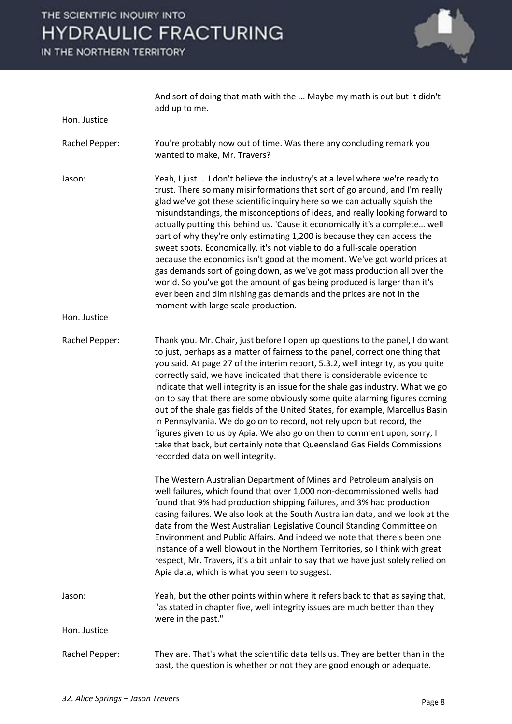

|                | And sort of doing that math with the  Maybe my math is out but it didn't<br>add up to me.                                                                                                                                                                                                                                                                                                                                                                                                                                                                                                                                                                                                                                                                                                                                                                                                                            |
|----------------|----------------------------------------------------------------------------------------------------------------------------------------------------------------------------------------------------------------------------------------------------------------------------------------------------------------------------------------------------------------------------------------------------------------------------------------------------------------------------------------------------------------------------------------------------------------------------------------------------------------------------------------------------------------------------------------------------------------------------------------------------------------------------------------------------------------------------------------------------------------------------------------------------------------------|
| Hon. Justice   |                                                                                                                                                                                                                                                                                                                                                                                                                                                                                                                                                                                                                                                                                                                                                                                                                                                                                                                      |
| Rachel Pepper: | You're probably now out of time. Was there any concluding remark you<br>wanted to make, Mr. Travers?                                                                                                                                                                                                                                                                                                                                                                                                                                                                                                                                                                                                                                                                                                                                                                                                                 |
| Jason:         | Yeah, I just  I don't believe the industry's at a level where we're ready to<br>trust. There so many misinformations that sort of go around, and I'm really<br>glad we've got these scientific inquiry here so we can actually squish the<br>misundstandings, the misconceptions of ideas, and really looking forward to<br>actually putting this behind us. 'Cause it economically it's a complete well<br>part of why they're only estimating 1,200 is because they can access the<br>sweet spots. Economically, it's not viable to do a full-scale operation<br>because the economics isn't good at the moment. We've got world prices at<br>gas demands sort of going down, as we've got mass production all over the<br>world. So you've got the amount of gas being produced is larger than it's<br>ever been and diminishing gas demands and the prices are not in the<br>moment with large scale production. |
| Hon. Justice   |                                                                                                                                                                                                                                                                                                                                                                                                                                                                                                                                                                                                                                                                                                                                                                                                                                                                                                                      |
| Rachel Pepper: | Thank you. Mr. Chair, just before I open up questions to the panel, I do want<br>to just, perhaps as a matter of fairness to the panel, correct one thing that<br>you said. At page 27 of the interim report, 5.3.2, well integrity, as you quite<br>correctly said, we have indicated that there is considerable evidence to<br>indicate that well integrity is an issue for the shale gas industry. What we go<br>on to say that there are some obviously some quite alarming figures coming<br>out of the shale gas fields of the United States, for example, Marcellus Basin<br>in Pennsylvania. We do go on to record, not rely upon but record, the<br>figures given to us by Apia. We also go on then to comment upon, sorry, I<br>take that back, but certainly note that Queensland Gas Fields Commissions<br>recorded data on well integrity.                                                              |
|                | The Western Australian Department of Mines and Petroleum analysis on<br>well failures, which found that over 1,000 non-decommissioned wells had<br>found that 9% had production shipping failures, and 3% had production<br>casing failures. We also look at the South Australian data, and we look at the<br>data from the West Australian Legislative Council Standing Committee on<br>Environment and Public Affairs. And indeed we note that there's been one<br>instance of a well blowout in the Northern Territories, so I think with great<br>respect, Mr. Travers, it's a bit unfair to say that we have just solely relied on<br>Apia data, which is what you seem to suggest.                                                                                                                                                                                                                             |
| Jason:         | Yeah, but the other points within where it refers back to that as saying that,<br>"as stated in chapter five, well integrity issues are much better than they<br>were in the past."                                                                                                                                                                                                                                                                                                                                                                                                                                                                                                                                                                                                                                                                                                                                  |
| Hon. Justice   |                                                                                                                                                                                                                                                                                                                                                                                                                                                                                                                                                                                                                                                                                                                                                                                                                                                                                                                      |
| Rachel Pepper: | They are. That's what the scientific data tells us. They are better than in the<br>past, the question is whether or not they are good enough or adequate.                                                                                                                                                                                                                                                                                                                                                                                                                                                                                                                                                                                                                                                                                                                                                            |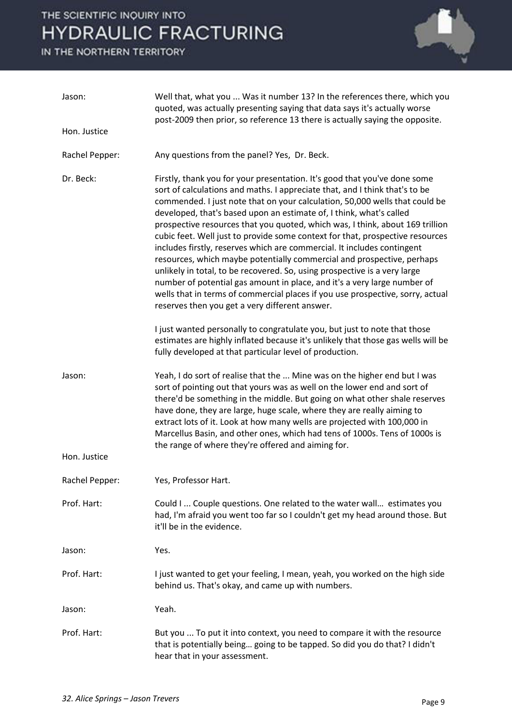

| Jason:         | Well that, what you  Was it number 13? In the references there, which you<br>quoted, was actually presenting saying that data says it's actually worse<br>post-2009 then prior, so reference 13 there is actually saying the opposite.                                                                                                                                                                                                                                                                                                                                                                                                                                                                                                                                                                                                                                                                                             |
|----------------|------------------------------------------------------------------------------------------------------------------------------------------------------------------------------------------------------------------------------------------------------------------------------------------------------------------------------------------------------------------------------------------------------------------------------------------------------------------------------------------------------------------------------------------------------------------------------------------------------------------------------------------------------------------------------------------------------------------------------------------------------------------------------------------------------------------------------------------------------------------------------------------------------------------------------------|
| Hon. Justice   |                                                                                                                                                                                                                                                                                                                                                                                                                                                                                                                                                                                                                                                                                                                                                                                                                                                                                                                                    |
| Rachel Pepper: | Any questions from the panel? Yes, Dr. Beck.                                                                                                                                                                                                                                                                                                                                                                                                                                                                                                                                                                                                                                                                                                                                                                                                                                                                                       |
| Dr. Beck:      | Firstly, thank you for your presentation. It's good that you've done some<br>sort of calculations and maths. I appreciate that, and I think that's to be<br>commended. I just note that on your calculation, 50,000 wells that could be<br>developed, that's based upon an estimate of, I think, what's called<br>prospective resources that you quoted, which was, I think, about 169 trillion<br>cubic feet. Well just to provide some context for that, prospective resources<br>includes firstly, reserves which are commercial. It includes contingent<br>resources, which maybe potentially commercial and prospective, perhaps<br>unlikely in total, to be recovered. So, using prospective is a very large<br>number of potential gas amount in place, and it's a very large number of<br>wells that in terms of commercial places if you use prospective, sorry, actual<br>reserves then you get a very different answer. |
|                | I just wanted personally to congratulate you, but just to note that those<br>estimates are highly inflated because it's unlikely that those gas wells will be<br>fully developed at that particular level of production.                                                                                                                                                                                                                                                                                                                                                                                                                                                                                                                                                                                                                                                                                                           |
| Jason:         | Yeah, I do sort of realise that the  Mine was on the higher end but I was<br>sort of pointing out that yours was as well on the lower end and sort of<br>there'd be something in the middle. But going on what other shale reserves<br>have done, they are large, huge scale, where they are really aiming to<br>extract lots of it. Look at how many wells are projected with 100,000 in<br>Marcellus Basin, and other ones, which had tens of 1000s. Tens of 1000s is<br>the range of where they're offered and aiming for.                                                                                                                                                                                                                                                                                                                                                                                                      |
| Hon. Justice   |                                                                                                                                                                                                                                                                                                                                                                                                                                                                                                                                                                                                                                                                                                                                                                                                                                                                                                                                    |
| Rachel Pepper: | Yes, Professor Hart.                                                                                                                                                                                                                                                                                                                                                                                                                                                                                                                                                                                                                                                                                                                                                                                                                                                                                                               |
| Prof. Hart:    | Could I  Couple questions. One related to the water wall estimates you<br>had, I'm afraid you went too far so I couldn't get my head around those. But<br>it'll be in the evidence.                                                                                                                                                                                                                                                                                                                                                                                                                                                                                                                                                                                                                                                                                                                                                |
| Jason:         | Yes.                                                                                                                                                                                                                                                                                                                                                                                                                                                                                                                                                                                                                                                                                                                                                                                                                                                                                                                               |
| Prof. Hart:    | I just wanted to get your feeling, I mean, yeah, you worked on the high side<br>behind us. That's okay, and came up with numbers.                                                                                                                                                                                                                                                                                                                                                                                                                                                                                                                                                                                                                                                                                                                                                                                                  |
| Jason:         | Yeah.                                                                                                                                                                                                                                                                                                                                                                                                                                                                                                                                                                                                                                                                                                                                                                                                                                                                                                                              |
| Prof. Hart:    | But you  To put it into context, you need to compare it with the resource<br>that is potentially being going to be tapped. So did you do that? I didn't<br>hear that in your assessment.                                                                                                                                                                                                                                                                                                                                                                                                                                                                                                                                                                                                                                                                                                                                           |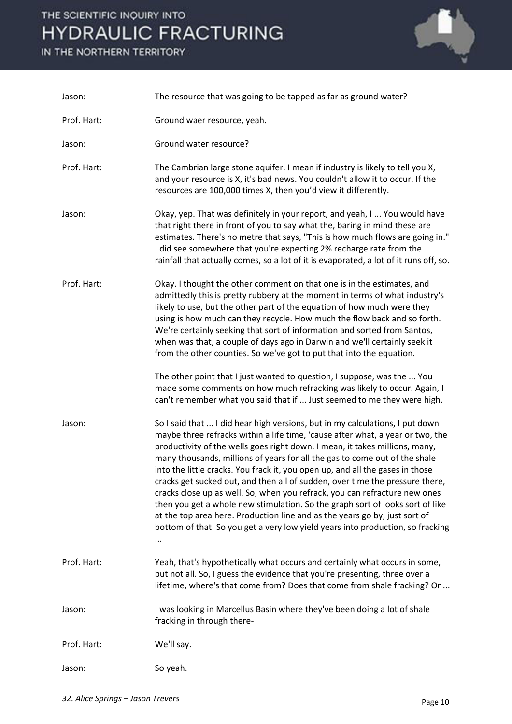

| Jason:      | The resource that was going to be tapped as far as ground water?                                                                                                                                                                                                                                                                                                                                                                                                                                                                                                                                                                                                                                                                                                                                                            |
|-------------|-----------------------------------------------------------------------------------------------------------------------------------------------------------------------------------------------------------------------------------------------------------------------------------------------------------------------------------------------------------------------------------------------------------------------------------------------------------------------------------------------------------------------------------------------------------------------------------------------------------------------------------------------------------------------------------------------------------------------------------------------------------------------------------------------------------------------------|
| Prof. Hart: | Ground waer resource, yeah.                                                                                                                                                                                                                                                                                                                                                                                                                                                                                                                                                                                                                                                                                                                                                                                                 |
| Jason:      | Ground water resource?                                                                                                                                                                                                                                                                                                                                                                                                                                                                                                                                                                                                                                                                                                                                                                                                      |
| Prof. Hart: | The Cambrian large stone aquifer. I mean if industry is likely to tell you X,<br>and your resource is X, it's bad news. You couldn't allow it to occur. If the<br>resources are 100,000 times X, then you'd view it differently.                                                                                                                                                                                                                                                                                                                                                                                                                                                                                                                                                                                            |
| Jason:      | Okay, yep. That was definitely in your report, and yeah, I  You would have<br>that right there in front of you to say what the, baring in mind these are<br>estimates. There's no metre that says, "This is how much flows are going in."<br>I did see somewhere that you're expecting 2% recharge rate from the<br>rainfall that actually comes, so a lot of it is evaporated, a lot of it runs off, so.                                                                                                                                                                                                                                                                                                                                                                                                                   |
| Prof. Hart: | Okay. I thought the other comment on that one is in the estimates, and<br>admittedly this is pretty rubbery at the moment in terms of what industry's<br>likely to use, but the other part of the equation of how much were they<br>using is how much can they recycle. How much the flow back and so forth.<br>We're certainly seeking that sort of information and sorted from Santos,<br>when was that, a couple of days ago in Darwin and we'll certainly seek it<br>from the other counties. So we've got to put that into the equation.<br>The other point that I just wanted to question, I suppose, was the  You<br>made some comments on how much refracking was likely to occur. Again, I<br>can't remember what you said that if  Just seemed to me they were high.                                              |
| Jason:      | So I said that  I did hear high versions, but in my calculations, I put down<br>maybe three refracks within a life time, 'cause after what, a year or two, the<br>productivity of the wells goes right down. I mean, it takes millions, many,<br>many thousands, millions of years for all the gas to come out of the shale<br>into the little cracks. You frack it, you open up, and all the gases in those<br>cracks get sucked out, and then all of sudden, over time the pressure there,<br>cracks close up as well. So, when you refrack, you can refracture new ones<br>then you get a whole new stimulation. So the graph sort of looks sort of like<br>at the top area here. Production line and as the years go by, just sort of<br>bottom of that. So you get a very low yield years into production, so fracking |
| Prof. Hart: | Yeah, that's hypothetically what occurs and certainly what occurs in some,<br>but not all. So, I guess the evidence that you're presenting, three over a<br>lifetime, where's that come from? Does that come from shale fracking? Or                                                                                                                                                                                                                                                                                                                                                                                                                                                                                                                                                                                        |
| Jason:      | I was looking in Marcellus Basin where they've been doing a lot of shale<br>fracking in through there-                                                                                                                                                                                                                                                                                                                                                                                                                                                                                                                                                                                                                                                                                                                      |
| Prof. Hart: | We'll say.                                                                                                                                                                                                                                                                                                                                                                                                                                                                                                                                                                                                                                                                                                                                                                                                                  |
| Jason:      | So yeah.                                                                                                                                                                                                                                                                                                                                                                                                                                                                                                                                                                                                                                                                                                                                                                                                                    |